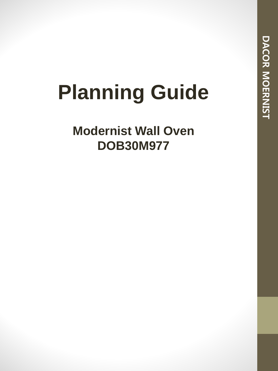# **Planning Guide**

**Modernist Wall Oven DOB30M977**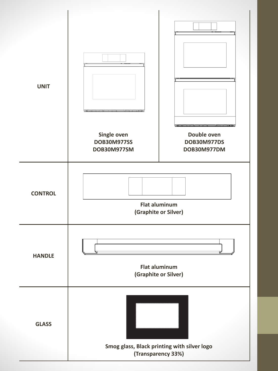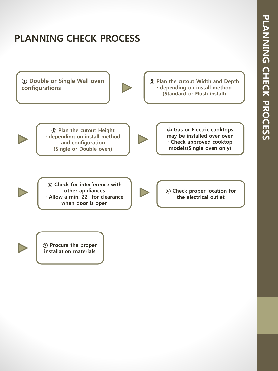# **PLANNING CHECK PROCESS**



**⑦ Procure the proper installation materials**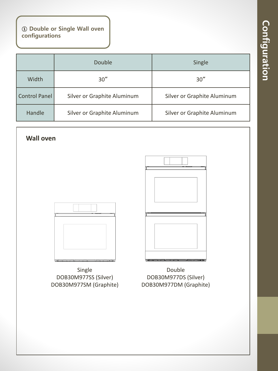**① Double or Single Wall oven configurations**

|                      | Double                      | Single                      |
|----------------------|-----------------------------|-----------------------------|
| Width                | 30''                        | 30''                        |
| <b>Control Panel</b> | Silver or Graphite Aluminum | Silver or Graphite Aluminum |
| Handle               | Silver or Graphite Aluminum | Silver or Graphite Aluminum |

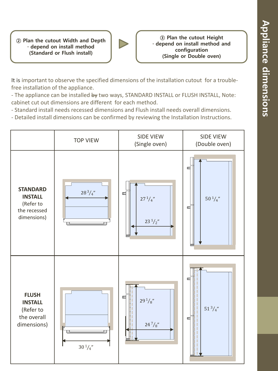**② Plan the cutout Width and Depth · depend on install method (Standard or Flush install)**



**③ Plan the cutout Height · depend on install method and configuration (Single or Double oven)**

It is important to observe the specified dimensions of the installation cutout for a troublefree installation of the appliance.

- The appliance can be installed by two ways, STANDARD INSTALL or FLUSH INSTALL, Note: cabinet cut out dimensions are different for each method.

- Standard install needs recessed dimensions and Flush install needs overall dimensions.

- Detailed install dimensions can be confirmed by reviewing the Installation Instructions.

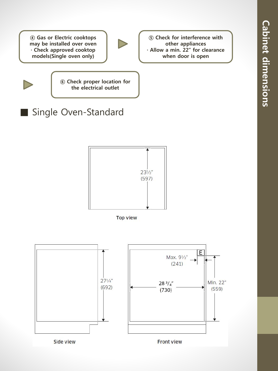**④ Gas or Electric cooktops may be installed over oven · Check approved cooktop models(Single oven only)**

![](_page_5_Picture_2.jpeg)

**⑤ Check for interference with other appliances · Allow a min. 22" for clearance when door is open**

**⑥ Check proper location for the electrical outlet**

# ■ Single Oven-Standard

![](_page_5_Figure_5.jpeg)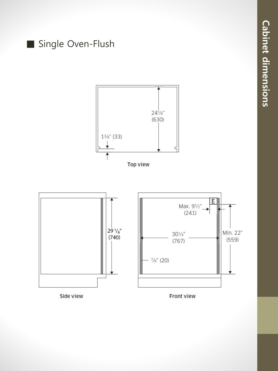![](_page_6_Figure_0.jpeg)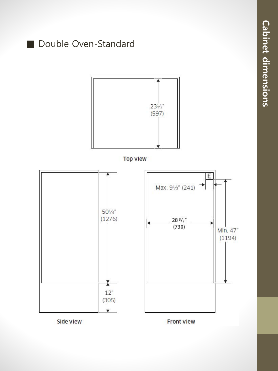![](_page_7_Figure_0.jpeg)

**Cabinet dimensions Cabinet dimensions**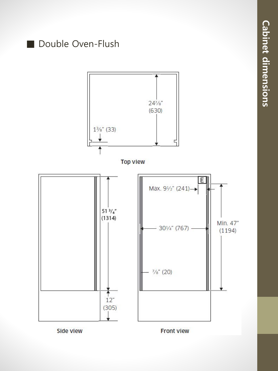![](_page_8_Figure_0.jpeg)

**Cabinet dimensions Cabinet dimensions**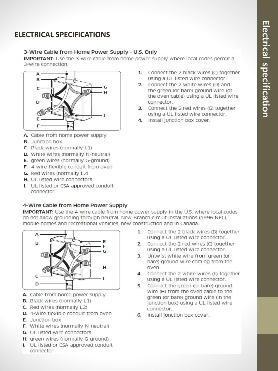### **ELECTRICAL SPECIFICATIONS**

#### 3-Wire Cable from Home Power Supply - U.S. Only

**IMPORTANT:** Use the 3-wire cable from home power supply where local codes permit a 3-wire connection.

![](_page_9_Figure_4.jpeg)

- A. Cable from home power supply
- **B.** Junction box
- C. Black wires (normally L1)
- D. White wires (normally N-neutral)
- E. green wires (normally G-ground)
- **F.** 4-wire flexible conduit from oven
- G. Red wires (normally L2)
- H. UL listed wire connectors
- I. UL listed or CSA approved conduit connector

#### 4-Wire Cable from Home Power Supply

**IMPORTANT:** Use the 4-wire cable from home power supply in the U.S. where local codes do not allow grounding through neutral. New Branch circuit installations (1996 NEC). mobile homes and recreational vehicles, new construction and in Canada.

![](_page_9_Figure_16.jpeg)

- A. Cable from home power supply
- **B.** Black wires (normally L1)
- C. Red wires (normally L2)
- D. 4-wire flexible conduit from oven
- **E.** Junction box
- F. White wires (normally N-neutral)
- G. UL listed wire connectors
- H. green wires (normally G-ground)
- I. UL listed or CSA approved conduit connector
- 1. Connect the 2 black wires (C) together using a UL listed wire connector.
- 2. Connect the 2 white wires (D) and the green (or bare) ground wire (of the oven cable) using a UL listed wire connector.
- 3. Connect the 2 red wires (G) together using a UL listed wire connector.
- 4. Install junction box cover.

- $1.$ Connect the 2 black wires (B) together using a UL listed wire connector.
- Connect the 2 red wires (C) together  $\mathcal{P}$ using a UL listed wire connector.
- Untwist white wire from green (or 3. bare) ground wire coming from the oven.
- 4. Connect the 2 white wires (F) together using a UL listed wire connector.
- 5. Connect the green (or bare) ground wire (H) from the oven cable to the green (or bare) ground wire (in the junction box) using a UL listed wire connector.
- 6. Install junction box cover.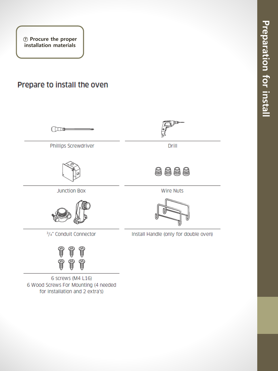**⑦ Procure the proper installation materials**

## Prepare to install the oven

![](_page_10_Figure_2.jpeg)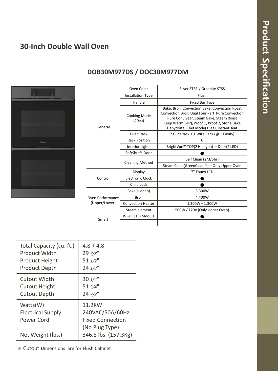#### **30-Inch Double Wall Oven**

![](_page_11_Picture_2.jpeg)

#### **DOB30M977DS / DOC30M977DM**

|                  | Oven Color               | Silver STSS / Graphite STSS                                                                                                                                                                                                              |
|------------------|--------------------------|------------------------------------------------------------------------------------------------------------------------------------------------------------------------------------------------------------------------------------------|
| General          | Installation Type        | Flush                                                                                                                                                                                                                                    |
|                  | Handle                   | <b>Fixed Bar Type</b>                                                                                                                                                                                                                    |
|                  | Cooking Mode<br>(20ea)   | Bake, Broil, Convection Bake, Convection Roast<br>Convection Broil, Dual Four Part Pure Convection<br>Pure Conv.Sear, Steam Bake, Steam Roast<br>Keep Warm(3Hr), Proof 1, Proof 2, Stone Bake<br>Dehydrate, Chef Mode(15ea), InstantHeat |
|                  | Oven Rack                | 2 GlideRack + 1 Wire Rack (@ 1 Cavity)                                                                                                                                                                                                   |
|                  | <b>Rack Position</b>     | 6                                                                                                                                                                                                                                        |
|                  | Interior Lights          | BrightVue <sup>™</sup> TOP(2 Halogen) + Door(2 LED)                                                                                                                                                                                      |
|                  | SoftShut™ Door           |                                                                                                                                                                                                                                          |
|                  | <b>Cleaning Method</b>   | Self Clean (2/3/5hr)                                                                                                                                                                                                                     |
|                  |                          | Steam Clean(GreenClean™) - Only Upper Oven                                                                                                                                                                                               |
|                  | Display                  | 7" Touch LCD                                                                                                                                                                                                                             |
| Control          | <b>Electronic Clock</b>  |                                                                                                                                                                                                                                          |
|                  | Child Lock               |                                                                                                                                                                                                                                          |
|                  | Bake(Hidden)             | 3,300W                                                                                                                                                                                                                                   |
| Oven Performance | <b>Broil</b>             | 4,400W                                                                                                                                                                                                                                   |
| (Upper/Lower)    | <b>Convection Heater</b> | $1,300W + 1,300W$                                                                                                                                                                                                                        |
|                  | Steam element            | 500W / 120V (Only Upper Oven)                                                                                                                                                                                                            |
|                  | Wi-Fi (LTE) Module       |                                                                                                                                                                                                                                          |
| Smart            |                          |                                                                                                                                                                                                                                          |

| Total Capacity (cu. ft.)                                                | $4.8 + 4.8$                                                                                    |
|-------------------------------------------------------------------------|------------------------------------------------------------------------------------------------|
| <b>Product Width</b>                                                    | $297/8$ "                                                                                      |
| <b>Product Height</b>                                                   | $511/2$ "                                                                                      |
| <b>Product Depth</b>                                                    | $24 \frac{1}{2}$ "                                                                             |
| Cutout Width                                                            | $30 \frac{1}{4}$ "                                                                             |
| <b>Cutout Height</b>                                                    | $513/4$ "                                                                                      |
| <b>Cutout Depth</b>                                                     | $247/8$ "                                                                                      |
| Watts(W)<br><b>Electrical Supply</b><br>Power Cord<br>Net Weight (lbs.) | 11.2KW<br>240VAC/50A/60Hz<br><b>Fixed Connection</b><br>(No Plug Type)<br>346.8 lbs. (157.3Kg) |

※ Cutout Dimensions are for Flush Cabinet